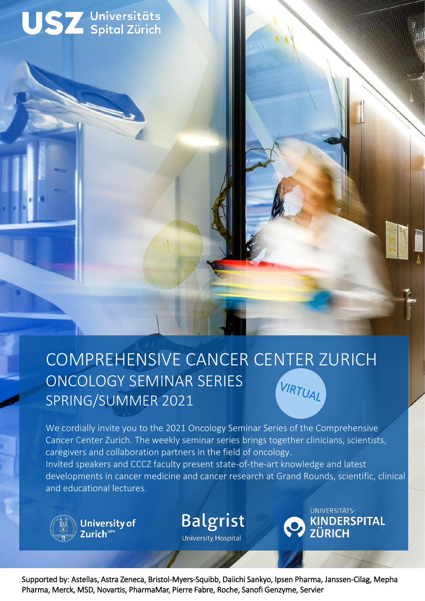



## COMPREHENSIVE CANCER CENTER ZURICH ONCOLOGY SEMINAR SERIES VIRTUAL SPRING/SUMMER 2021

We cordially invite you to the 2021 Oncology Seminar Series of the Comprehensive Cancer Center Zurich. The weekly seminar series brings together clinicians, scientists, caregivers and collaboration partners in the field of oncology. Invited speakers and CCCZ faculty present state-of-the-art knowledge and latest developments in cancer medicine and cancer research at Grand Rounds, scientific, clinical and educational lectures.



Supported by: Astellas, Astra Zeneca, Bristol-Myers-Squibb, Daiichi Sankyo, Ipsen Pharma, Janssen-Cilag, Mepha Pharma, Merck, MSD, Novartis, PharmaMar, Pierre Fabre, Roche, Sanofi Genzyme, Servier